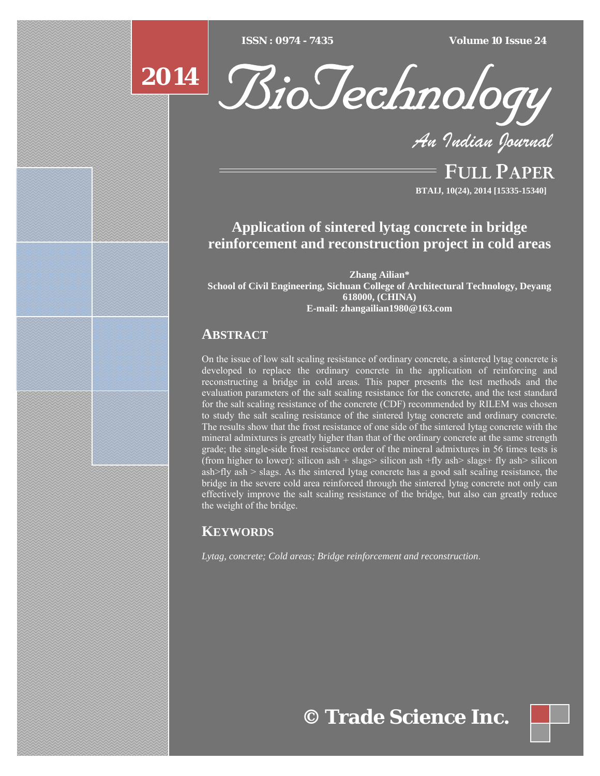$ISSN : 0974 - 7435$ 

*ISSN : 0974 - 7435 Volume 10 Issue 24*

# **2014**



*An Indian Journal*

FULL PAPER **BTAIJ, 10(24), 2014 [15335-15340]**

## **Application of sintered lytag concrete in bridge reinforcement and reconstruction project in cold areas**

**Zhang Ailian\* School of Civil Engineering, Sichuan College of Architectural Technology, Deyang 618000, (CHINA) E-mail: zhangailian1980@163.com** 

### **ABSTRACT**

On the issue of low salt scaling resistance of ordinary concrete, a sintered lytag concrete is developed to replace the ordinary concrete in the application of reinforcing and reconstructing a bridge in cold areas. This paper presents the test methods and the evaluation parameters of the salt scaling resistance for the concrete, and the test standard for the salt scaling resistance of the concrete (CDF) recommended by RILEM was chosen to study the salt scaling resistance of the sintered lytag concrete and ordinary concrete. The results show that the frost resistance of one side of the sintered lytag concrete with the mineral admixtures is greatly higher than that of the ordinary concrete at the same strength grade; the single-side frost resistance order of the mineral admixtures in 56 times tests is (from higher to lower): silicon ash + slags> silicon ash +fly ash> slags+ fly ash> silicon ash>fly ash  $>$  slags. As the sintered lytag concrete has a good salt scaling resistance, the bridge in the severe cold area reinforced through the sintered lytag concrete not only can effectively improve the salt scaling resistance of the bridge, but also can greatly reduce the weight of the bridge.

## **KEYWORDS**

*Lytag, concrete; Cold areas; Bridge reinforcement and reconstruction*.

**© Trade Science Inc.**

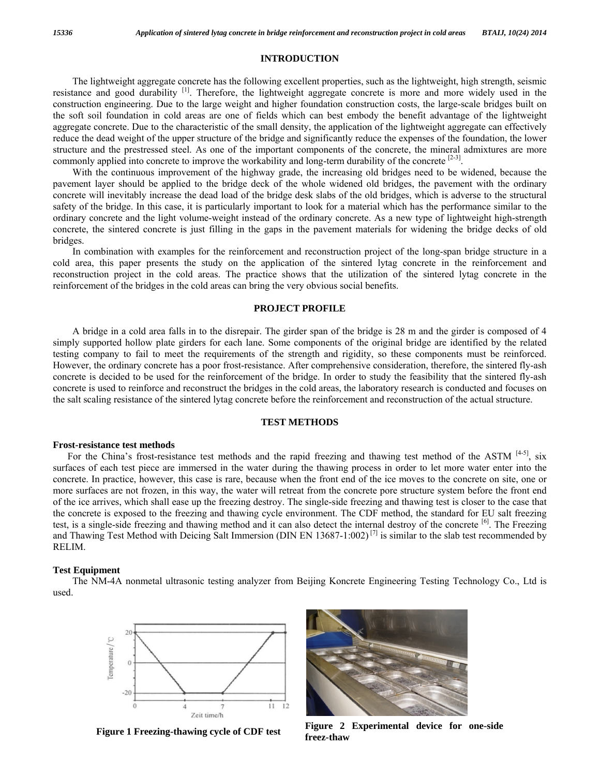#### **INTRODUCTION**

The lightweight aggregate concrete has the following excellent properties, such as the lightweight, high strength, seismic resistance and good durability [1]. Therefore, the lightweight aggregate concrete is more and more widely used in the construction engineering. Due to the large weight and higher foundation construction costs, the large-scale bridges built on the soft soil foundation in cold areas are one of fields which can best embody the benefit advantage of the lightweight aggregate concrete. Due to the characteristic of the small density, the application of the lightweight aggregate can effectively reduce the dead weight of the upper structure of the bridge and significantly reduce the expenses of the foundation, the lower structure and the prestressed steel. As one of the important components of the concrete, the mineral admixtures are more commonly applied into concrete to improve the workability and long-term durability of the concrete [2-3].

With the continuous improvement of the highway grade, the increasing old bridges need to be widened, because the pavement layer should be applied to the bridge deck of the whole widened old bridges, the pavement with the ordinary concrete will inevitably increase the dead load of the bridge desk slabs of the old bridges, which is adverse to the structural safety of the bridge. In this case, it is particularly important to look for a material which has the performance similar to the ordinary concrete and the light volume-weight instead of the ordinary concrete. As a new type of lightweight high-strength concrete, the sintered concrete is just filling in the gaps in the pavement materials for widening the bridge decks of old bridges.

In combination with examples for the reinforcement and reconstruction project of the long-span bridge structure in a cold area, this paper presents the study on the application of the sintered lytag concrete in the reinforcement and reconstruction project in the cold areas. The practice shows that the utilization of the sintered lytag concrete in the reinforcement of the bridges in the cold areas can bring the very obvious social benefits.

#### **PROJECT PROFILE**

A bridge in a cold area falls in to the disrepair. The girder span of the bridge is 28 m and the girder is composed of 4 simply supported hollow plate girders for each lane. Some components of the original bridge are identified by the related testing company to fail to meet the requirements of the strength and rigidity, so these components must be reinforced. However, the ordinary concrete has a poor frost-resistance. After comprehensive consideration, therefore, the sintered fly-ash concrete is decided to be used for the reinforcement of the bridge. In order to study the feasibility that the sintered fly-ash concrete is used to reinforce and reconstruct the bridges in the cold areas, the laboratory research is conducted and focuses on the salt scaling resistance of the sintered lytag concrete before the reinforcement and reconstruction of the actual structure.

#### **TEST METHODS**

#### **Frost-resistance test methods**

For the China's frost-resistance test methods and the rapid freezing and thawing test method of the ASTM  $[4-5]$ , six surfaces of each test piece are immersed in the water during the thawing process in order to let more water enter into the concrete. In practice, however, this case is rare, because when the front end of the ice moves to the concrete on site, one or more surfaces are not frozen, in this way, the water will retreat from the concrete pore structure system before the front end of the ice arrives, which shall ease up the freezing destroy. The single-side freezing and thawing test is closer to the case that the concrete is exposed to the freezing and thawing cycle environment. The CDF method, the standard for EU salt freezing test, is a single-side freezing and thawing method and it can also detect the internal destroy of the concrete [6]. The Freezing and Thawing Test Method with Deicing Salt Immersion (DIN EN 13687-1:002)<sup>[7]</sup> is similar to the slab test recommended by RELIM.

#### **Test Equipment**

The NM-4A nonmetal ultrasonic testing analyzer from Beijing Koncrete Engineering Testing Technology Co., Ltd is used.





**Figure 1 Freezing-thawing cycle of CDF test Figure 2 Experimental device for one-side freez-thaw**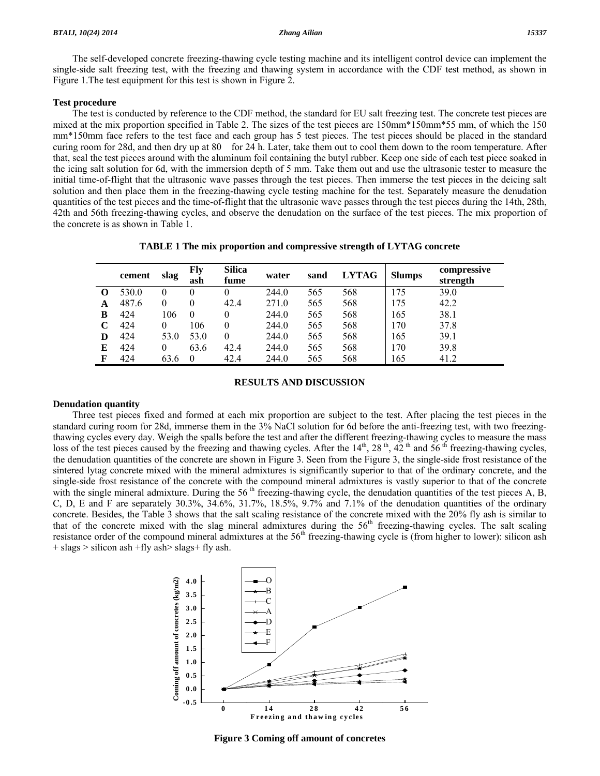The self-developed concrete freezing-thawing cycle testing machine and its intelligent control device can implement the single-side salt freezing test, with the freezing and thawing system in accordance with the CDF test method, as shown in Figure 1.The test equipment for this test is shown in Figure 2.

#### **Test procedure**

The test is conducted by reference to the CDF method, the standard for EU salt freezing test. The concrete test pieces are mixed at the mix proportion specified in Table 2. The sizes of the test pieces are 150mm\*150mm\*55 mm, of which the 150 mm<sup>\*</sup>150mm face refers to the test face and each group has 5 test pieces. The test pieces should be placed in the standard curing room for 28d, and then dry up at 80 for 24 h. Later, take them out to cool them down to the room temperature. After that, seal the test pieces around with the aluminum foil containing the butyl rubber. Keep one side of each test piece soaked in the icing salt solution for 6d, with the immersion depth of 5 mm. Take them out and use the ultrasonic tester to measure the initial time-of-flight that the ultrasonic wave passes through the test pieces. Then immerse the test pieces in the deicing salt solution and then place them in the freezing-thawing cycle testing machine for the test. Separately measure the denudation quantities of the test pieces and the time-of-flight that the ultrasonic wave passes through the test pieces during the 14th, 28th, 42th and 56th freezing-thawing cycles, and observe the denudation on the surface of the test pieces. The mix proportion of the concrete is as shown in Table 1.

|  |  |  | TABLE 1 The mix proportion and compressive strength of LYTAG concrete |
|--|--|--|-----------------------------------------------------------------------|
|--|--|--|-----------------------------------------------------------------------|

|                   | cement | slag     | Fly<br>ash | <b>Silica</b><br>fume | water | sand | <b>LYTAG</b> | <b>Slumps</b> | compressive<br>strength |
|-------------------|--------|----------|------------|-----------------------|-------|------|--------------|---------------|-------------------------|
| $\mathbf{\Omega}$ | 530.0  | $\theta$ |            | 0                     | 244.0 | 565  | 568          | 175           | 39.0                    |
| A                 | 487.6  | $\theta$ |            | 42.4                  | 271.0 | 565  | 568          | 175           | 42.2                    |
| B                 | 424    | 106      | $\Omega$   | 0                     | 244.0 | 565  | 568          | 165           | 38.1                    |
| C                 | 424    | $\theta$ | 106        | 0                     | 244.0 | 565  | 568          | 170           | 37.8                    |
| D                 | 424    | 53.0     | 53.0       | 0                     | 244.0 | 565  | 568          | 165           | 39.1                    |
| E                 | 424    | 0        | 63.6       | 42.4                  | 244.0 | 565  | 568          | 170           | 39.8                    |
| F                 | 424    | 63.6     | $\Omega$   | 42.4                  | 244.0 | 565  | 568          | 165           | 41.2                    |

#### **RESULTS AND DISCUSSION**

#### **Denudation quantity**

Three test pieces fixed and formed at each mix proportion are subject to the test. After placing the test pieces in the standard curing room for 28d, immerse them in the 3% NaCl solution for 6d before the anti-freezing test, with two freezingthawing cycles every day. Weigh the spalls before the test and after the different freezing-thawing cycles to measure the mass loss of the test pieces caused by the freezing and thawing cycles. After the  $14<sup>th</sup>$ ,  $28<sup>th</sup>$ ,  $42<sup>th</sup>$  and  $56<sup>th</sup>$  freezing-thawing cycles, the denudation quantities of the concrete are shown in Figure 3. Seen from the Figure 3, the single-side frost resistance of the sintered lytag concrete mixed with the mineral admixtures is significantly superior to that of the ordinary concrete, and the single-side frost resistance of the concrete with the compound mineral admixtures is vastly superior to that of the concrete with the single mineral admixture. During the 56<sup>th</sup> freezing-thawing cycle, the denudation quantities of the test pieces A, B, C, D, E and F are separately  $30.3\%$ ,  $34.6\%$ ,  $31.7\%$ ,  $18.5\%$ ,  $9.7\%$  and  $7.1\%$  of the denudation quantities of the ordinary concrete. Besides, the Table 3 shows that the salt scaling resistance of the concrete mixed with the 20% fly ash is similar to that of the concrete mixed with the slag mineral admixtures during the  $56<sup>th</sup>$  freezing-thawing cycles. The salt scaling resistance order of the compound mineral admixtures at the  $56<sup>th</sup>$  freezing-thawing cycle is (from higher to lower): silicon ash  $+$  slags  $>$  silicon ash  $+fly$  ash $>$  slags $+fly$  ash.



**Figure 3 Coming off amount of concretes**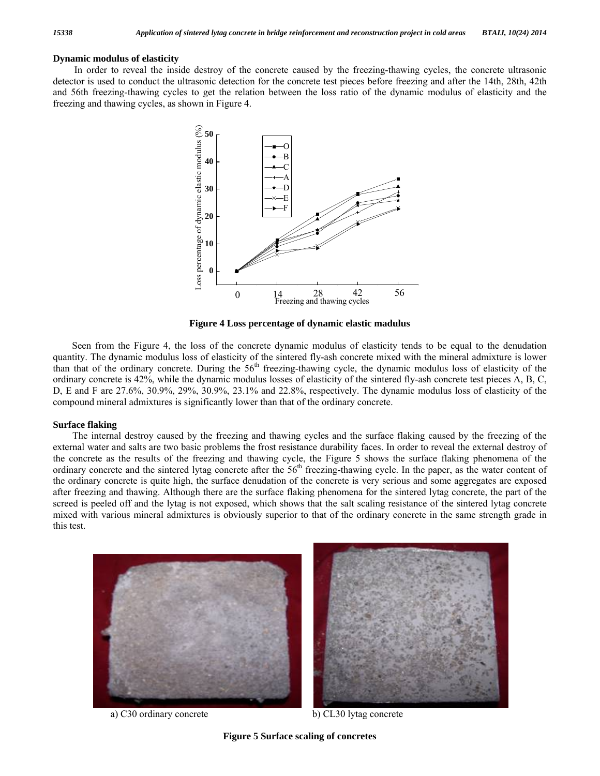#### **Dynamic modulus of elasticity**

In order to reveal the inside destroy of the concrete caused by the freezing-thawing cycles, the concrete ultrasonic detector is used to conduct the ultrasonic detection for the concrete test pieces before freezing and after the 14th, 28th, 42th and 56th freezing-thawing cycles to get the relation between the loss ratio of the dynamic modulus of elasticity and the freezing and thawing cycles, as shown in Figure 4.



**Figure 4 Loss percentage of dynamic elastic madulus** 

Seen from the Figure 4, the loss of the concrete dynamic modulus of elasticity tends to be equal to the denudation quantity. The dynamic modulus loss of elasticity of the sintered fly-ash concrete mixed with the mineral admixture is lower than that of the ordinary concrete. During the  $56<sup>th</sup>$  freezing-thawing cycle, the dynamic modulus loss of elasticity of the ordinary concrete is 42%, while the dynamic modulus losses of elasticity of the sintered fly-ash concrete test pieces A, B, C, D, E and F are 27.6%, 30.9%, 29%, 30.9%, 23.1% and 22.8%, respectively. The dynamic modulus loss of elasticity of the compound mineral admixtures is significantly lower than that of the ordinary concrete.

#### **Surface flaking**

The internal destroy caused by the freezing and thawing cycles and the surface flaking caused by the freezing of the external water and salts are two basic problems the frost resistance durability faces. In order to reveal the external destroy of the concrete as the results of the freezing and thawing cycle, the Figure 5 shows the surface flaking phenomena of the ordinary concrete and the sintered lytag concrete after the  $56<sup>th</sup>$  freezing-thawing cycle. In the paper, as the water content of the ordinary concrete is quite high, the surface denudation of the concrete is very serious and some aggregates are exposed after freezing and thawing. Although there are the surface flaking phenomena for the sintered lytag concrete, the part of the screed is peeled off and the lytag is not exposed, which shows that the salt scaling resistance of the sintered lytag concrete mixed with various mineral admixtures is obviously superior to that of the ordinary concrete in the same strength grade in this test.



a) C30 ordinary concrete b) CL30 lytag concrete

**Figure 5 Surface scaling of concretes**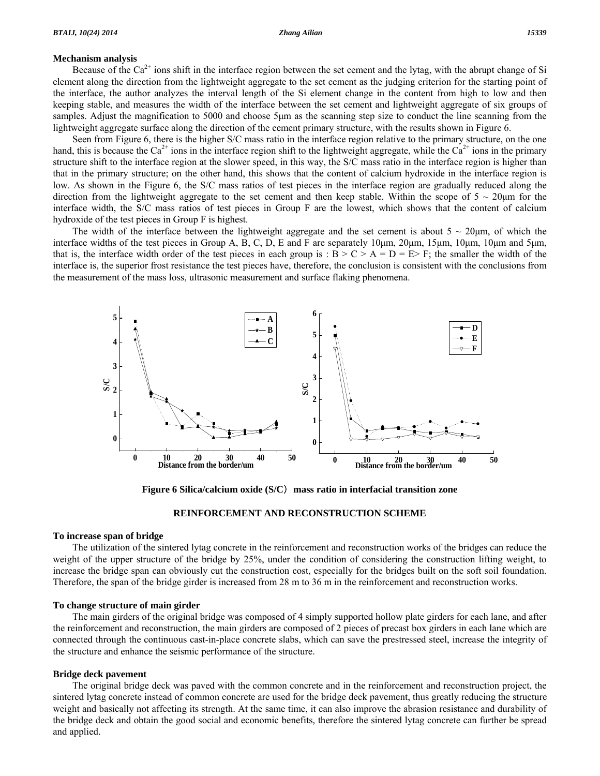#### **Mechanism analysis**

Because of the  $Ca^{2+}$  ions shift in the interface region between the set cement and the lytag, with the abrupt change of Si element along the direction from the lightweight aggregate to the set cement as the judging criterion for the starting point of the interface, the author analyzes the interval length of the Si element change in the content from high to low and then keeping stable, and measures the width of the interface between the set cement and lightweight aggregate of six groups of samples. Adjust the magnification to 5000 and choose 5μm as the scanning step size to conduct the line scanning from the lightweight aggregate surface along the direction of the cement primary structure, with the results shown in Figure 6.

Seen from Figure 6, there is the higher S/C mass ratio in the interface region relative to the primary structure, on the one hand, this is because the Ca<sup>2+</sup> ions in the interface region shift to the lightweight aggregate, while the Ca<sup>2+</sup> ions in the primary structure shift to the interface region at the slower speed, in this way, the S/C mass ratio in the interface region is higher than that in the primary structure; on the other hand, this shows that the content of calcium hydroxide in the interface region is low. As shown in the Figure 6, the S/C mass ratios of test pieces in the interface region are gradually reduced along the direction from the lightweight aggregate to the set cement and then keep stable. Within the scope of  $5 \sim 20 \mu m$  for the interface width, the S/C mass ratios of test pieces in Group F are the lowest, which shows that the content of calcium hydroxide of the test pieces in Group F is highest.

The width of the interface between the lightweight aggregate and the set cement is about  $5 \sim 20 \mu m$ , of which the interface widths of the test pieces in Group A, B, C, D, E and F are separately 10μm, 20μm, 15μm, 10μm, 10μm and 5μm, that is, the interface width order of the test pieces in each group is :  $B > C > A = D = E > F$ ; the smaller the width of the interface is, the superior frost resistance the test pieces have, therefore, the conclusion is consistent with the conclusions from the measurement of the mass loss, ultrasonic measurement and surface flaking phenomena.



**Figure 6 Silica/calcium oxide (S/C**)**mass ratio in interfacial transition zone**

#### **REINFORCEMENT AND RECONSTRUCTION SCHEME**

#### **To increase span of bridge**

The utilization of the sintered lytag concrete in the reinforcement and reconstruction works of the bridges can reduce the weight of the upper structure of the bridge by 25%, under the condition of considering the construction lifting weight, to increase the bridge span can obviously cut the construction cost, especially for the bridges built on the soft soil foundation. Therefore, the span of the bridge girder is increased from 28 m to 36 m in the reinforcement and reconstruction works.

#### **To change structure of main girder**

The main girders of the original bridge was composed of 4 simply supported hollow plate girders for each lane, and after the reinforcement and reconstruction, the main girders are composed of 2 pieces of precast box girders in each lane which are connected through the continuous cast-in-place concrete slabs, which can save the prestressed steel, increase the integrity of the structure and enhance the seismic performance of the structure.

#### **Bridge deck pavement**

The original bridge deck was paved with the common concrete and in the reinforcement and reconstruction project, the sintered lytag concrete instead of common concrete are used for the bridge deck pavement, thus greatly reducing the structure weight and basically not affecting its strength. At the same time, it can also improve the abrasion resistance and durability of the bridge deck and obtain the good social and economic benefits, therefore the sintered lytag concrete can further be spread and applied.